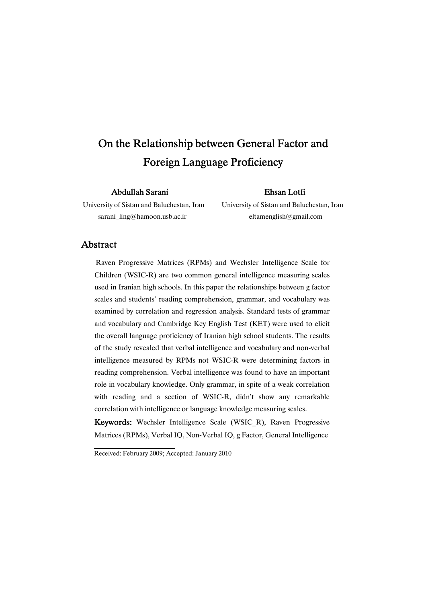# On the Relationship between General Factor and Foreign Language Proficiency

Abdullah Sarani **Ehsan Lotfi** 

University of Sistan and Baluchestan, Iran University of Sistan and Baluchestan, Iran sarani ling@hamoon.usb.ac.ir eltamenglish@gmail.com

### Abstract

Raven Progressive Matrices (RPMs) and Wechsler Intelligence Scale for Children (WSIC-R) are two common general intelligence measuring scales used in Iranian high schools. In this paper the relationships between g factor scales and students' reading comprehension, grammar, and vocabulary was examined by correlation and regression analysis. Standard tests of grammar and vocabulary and Cambridge Key English Test (KET) were used to elicit the overall language proficiency of Iranian high school students. The results of the study revealed that verbal intelligence and vocabulary and non-verbal intelligence measured by RPMs not WSIC-R were determining factors in reading comprehension. Verbal intelligence was found to have an important role in vocabulary knowledge. Only grammar, in spite of a weak correlation with reading and a section of WSIC-R, didn't show any remarkable correlation with intelligence or language knowledge measuring scales.

Keywords: Wechsler Intelligence Scale (WSIC\_R), Raven Progressive Matrices (RPMs), Verbal IQ, Non-Verbal IQ, g Factor, General Intelligence

Received: February 2009; Accepted: January 2010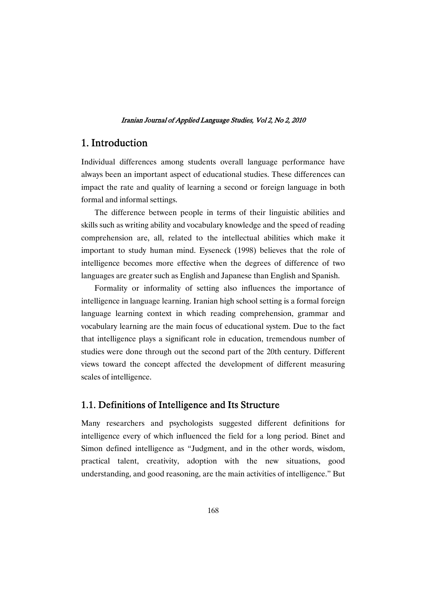### 1. Introduction

Individual differences among students overall language performance have always been an important aspect of educational studies. These differences can impact the rate and quality of learning a second or foreign language in both formal and informal settings.

The difference between people in terms of their linguistic abilities and skills such as writing ability and vocabulary knowledge and the speed of reading comprehension are, all, related to the intellectual abilities which make it important to study human mind. Eyseneck (1998) believes that the role of intelligence becomes more effective when the degrees of difference of two languages are greater such as English and Japanese than English and Spanish.

Formality or informality of setting also influences the importance of intelligence in language learning. Iranian high school setting is a formal foreign language learning context in which reading comprehension, grammar and vocabulary learning are the main focus of educational system. Due to the fact that intelligence plays a significant role in education, tremendous number of studies were done through out the second part of the 20th century. Different views toward the concept affected the development of different measuring scales of intelligence.

### 1.1. Definitions of Intelligence and Its Structure

Many researchers and psychologists suggested different definitions for intelligence every of which influenced the field for a long period. Binet and Simon defined intelligence as "Judgment, and in the other words, wisdom, practical talent, creativity, adoption with the new situations, good understanding, and good reasoning, are the main activities of intelligence." But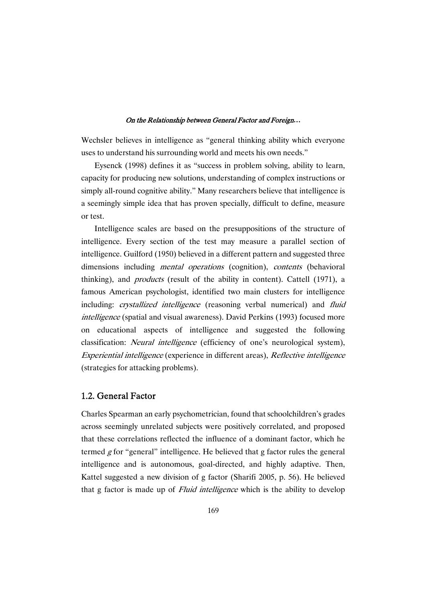Wechsler believes in intelligence as "general thinking ability which everyone uses to understand his surrounding world and meets his own needs."

Eysenck (1998) defines it as "success in problem solving, ability to learn, capacity for producing new solutions, understanding of complex instructions or simply all-round cognitive ability." Many researchers believe that intelligence is a seemingly simple idea that has proven specially, difficult to define, measure or test.

Intelligence scales are based on the presuppositions of the structure of intelligence. Every section of the test may measure a parallel section of intelligence. Guilford (1950) believed in a different pattern and suggested three dimensions including *mental operations* (cognition), *contents* (behavioral thinking), and products (result of the ability in content). Cattell (1971), a famous American psychologist, identified two main clusters for intelligence including: *crystallized intelligence* (reasoning verbal numerical) and *fluid* intelligence (spatial and visual awareness). David Perkins (1993) focused more on educational aspects of intelligence and suggested the following classification: *Neural intelligence* (efficiency of one's neurological system), Experiential intelligence (experience in different areas), Reflective intelligence (strategies for attacking problems).

### 1.2. General Factor

Charles Spearman an early psychometrician, found that schoolchildren's grades across seemingly unrelated subjects were positively correlated, and proposed that these correlations reflected the influence of a dominant factor, which he termed  $g$  for "general" intelligence. He believed that g factor rules the general intelligence and is autonomous, goal-directed, and highly adaptive. Then, Kattel suggested a new division of g factor (Sharifi 2005, p. 56). He believed that g factor is made up of *Fluid intelligence* which is the ability to develop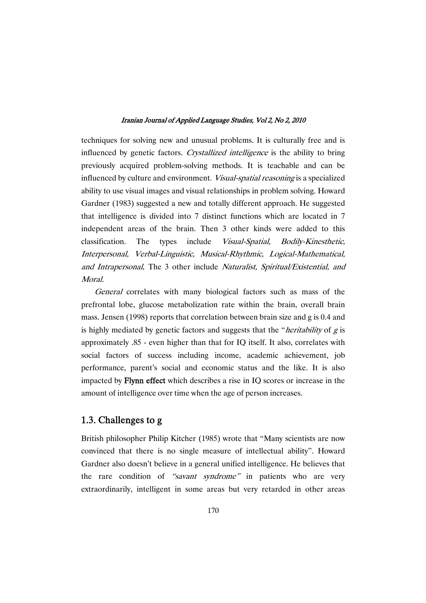techniques for solving new and unusual problems. It is culturally free and is influenced by genetic factors. Crystallized intelligence is the ability to bring previously acquired problem-solving methods. It is teachable and can be influenced by culture and environment. Visual-spatial reasoning is a specialized ability to use visual images and visual relationships in problem solving. Howard Gardner (1983) suggested a new and totally different approach. He suggested that intelligence is divided into 7 distinct functions which are located in 7 independent areas of the brain. Then 3 other kinds were added to this classification. The types include Visual-Spatial, Bodily-Kinesthetic, Interpersonal, Verbal-Linguistic, Musical-Rhythmic, Logical-Mathematical, and Intrapersonal. The 3 other include Naturalist, Spiritual/Existential, and Moral.

General correlates with many biological factors such as mass of the prefrontal lobe, glucose metabolization rate within the brain, overall brain mass. Jensen (1998) reports that correlation between brain size and g is 0.4 and is highly mediated by genetic factors and suggests that the "*heritability* of  $g$  is approximately .85 - even higher than that for IQ itself. It also, correlates with social factors of success including income, academic achievement, job performance, parent's social and economic status and the like. It is also impacted by Flynneffectwhich describes a rise in IQ scores or increase in the amount of intelligence over time when the age of person increases.

### 1.3. Challenges to g

British philosopher Philip Kitcher (1985) wrote that "Many scientists are now convinced that there is no single measure of intellectual ability". Howard Gardner also doesn't believe in a general unified intelligence. He believes that the rare condition of "savant syndrome" in patients who are very extraordinarily, intelligent in some areas but very retarded in other areas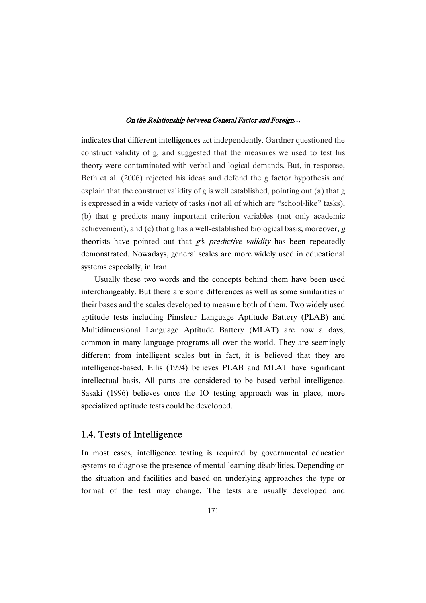indicates that different intelligences act independently. Gardner questioned the construct validity of g, and suggested that the measures we used to test his theory were contaminated with verbal and logical demands. But, in response, Beth et al. (2006) rejected his ideas and defend the g factor hypothesis and explain that the construct validity of g is well established, pointing out (a) that g is expressed in a wide variety of tasks (not all of which are "school-like" tasks), (b) that g predicts many important criterion variables (not only academic achievement), and (c) that g has a well-established biological basis; moreover,  $g$ theorists have pointed out that  $g\bar{s}$  predictive validity has been repeatedly demonstrated. Nowadays, general scales are more widely used in educational systems especially, in Iran.

Usually these two words and the concepts behind them have been used interchangeably. But there are some differences as well as some similarities in their bases and the scales developed to measure both of them. Two widely used aptitude tests including Pimsleur Language Aptitude Battery (PLAB) and Multidimensional Language Aptitude Battery (MLAT) are now a days, common in many language programs all over the world. They are seemingly different from intelligent scales but in fact, it is believed that they are intelligence-based. Ellis (1994) believes PLAB and MLAT have significant intellectual basis. All parts are considered to be based verbal intelligence. Sasaki (1996) believes once the IQ testing approach was in place, more specialized aptitude tests could be developed.

### 1.4. Tests of Intelligence

In most cases, intelligence testing is required by governmental education systems to diagnose the presence of mental learning disabilities. Depending on the situation and facilities and based on underlying approaches the type or format of the test may change. The tests are usually developed and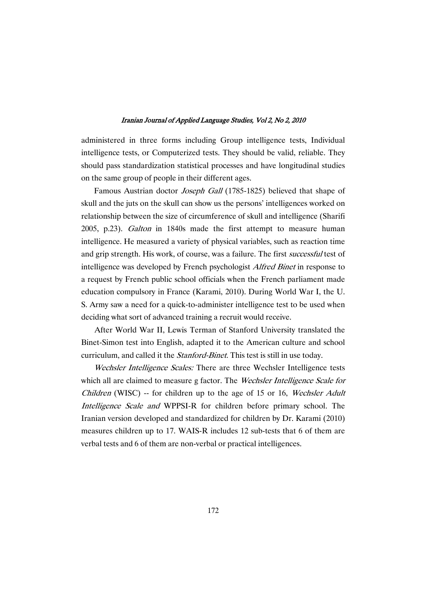administered in three forms including Group intelligence tests, Individual intelligence tests, or Computerized tests.They should be valid, reliable. They should pass standardization statistical processes and have longitudinal studies on the same group of people in their different ages.

Famous Austrian doctor *Joseph Gall* (1785-1825) believed that shape of skull and the juts on the skull can show us the persons' intelligences worked on relationship between the size of circumference of skull and intelligence (Sharifi 2005, p.23). Galton in 1840s made the first attempt to measure human intelligence. He measured a variety of physical variables, such as reaction time and grip strength. His work, of course, was a failure. The first successful test of intelligence was developed by French psychologist Alfred Binet in response to a request by French public school officials when the French parliament made education compulsory in France (Karami, 2010). During World War I, the U. S. Army saw a need for a quick-to-administer intelligence test to be used when deciding what sort of advanced training a recruit would receive.

After World War II, Lewis Terman of Stanford University translated the Binet-Simon test into English, adapted it to the American culture and school curriculum, and called it the *Stanford-Binet*. This test is still in use today.

Wechsler Intelligence Scales: There are three Wechsler Intelligence tests which all are claimed to measure g factor. The *Wechsler Intelligence Scale for* Children (WISC) -- for children up to the age of 15 or 16, Wechsler Adult Intelligence Scale and WPPSI-R for children before primary school. The Iranian version developed and standardized for children by Dr. Karami (2010) measures children up to 17. WAIS-R includes 12 sub-tests that 6 of them are verbal tests and 6 of them are non-verbal or practical intelligences.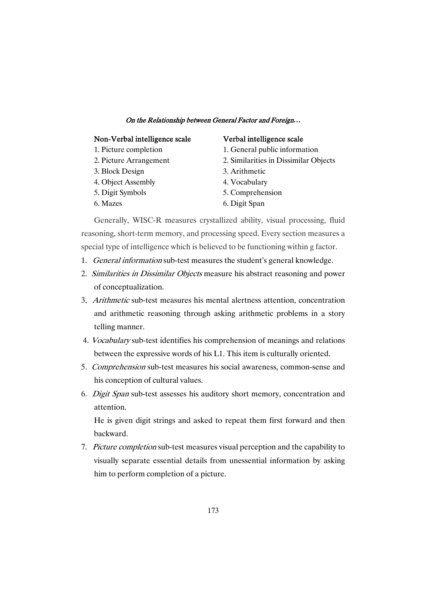### Non-Verbal intelligence scale Verbal intelligence scale

- 1. Picture completion
- 2. Picture Arrangement
- 3. Block Design
- 4. Object Assembly
- 5. Digit Symbols
- 6. Mazes

- 1. General public information
- 2. Similarities in Dissimilar Objects
- 3. Arithmetic
- 4. Vocabulary
- 5. Comprehension
- 6. Digit Span

Generally, WISC-R measures crystallized ability, visual processing, fluid reasoning, short-term memory, and processing speed. Every section measures a special type of intelligence which is believed to be functioning within g factor.

- 1. General information sub-test measures the student's general knowledge.
- 2. Similarities in Dissimilar Objects measure his abstract reasoning and power of conceptualization.
- 3. Arithmetic sub-test measures his mental alertness attention, concentration and arithmetic reasoning through asking arithmetic problems in a story telling manner.
- 4. Vocabularysub-test identifies his comprehension of meanings and relations between the expressive words of his L1. This item is culturally oriented.
- 5. Comprehension sub-test measures his social awareness, common-sense and his conception of cultural values.
- 6. Digit Span sub-test assesses his auditory short memory, concentration and attention.

He is given digit strings and asked to repeat them first forward and then backward.

7. Picture completion sub-test measures visual perception and the capability to visually separate essential details from unessential information by asking him to perform completion of a picture.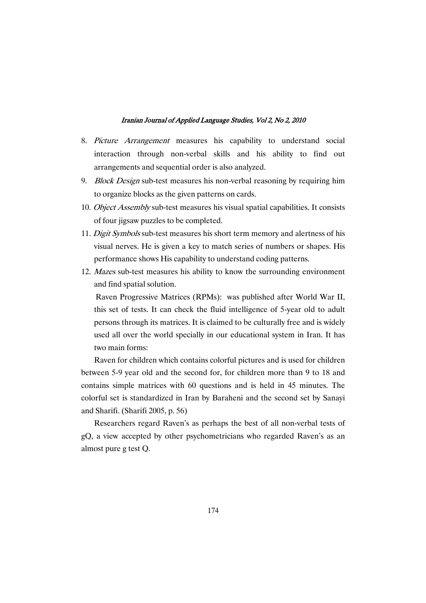- 8. Picture Arrangement measures his capability to understand social interaction through non-verbal skills and his ability to find out arrangements and sequential order is also analyzed.
- 9. *Block Design* sub-test measures his non-verbal reasoning by requiring him to organize blocks as the given patterns on cards.
- 10. *Object Assembly* sub-test measures his visual spatial capabilities. It consists of four jigsaw puzzles to be completed.
- 11. Digit Symbols sub-test measures his short term memory and alertness of his visual nerves. He is given a key to match series of numbers or shapes. His performance shows His capability to understand coding patterns.
- 12. Mazes sub-test measures his ability to know the surrounding environment and find spatial solution.

Raven Progressive Matrices (RPMs): was published after World War II, this set of tests. It can check the fluid intelligence of 5-year old to adult persons through its matrices. It is claimed to be culturally free and is widely used all over the world specially in our educational system in Iran. It has two main forms:

Raven for children which contains colorful pictures and is used for children between 5-9 year old and the second for, for children more than 9 to 18 and contains simple matrices with 60 questions and is held in 45 minutes. The colorful set is standardized in Iran by Baraheni and the second set by Sanayi and Sharifi. (Sharifi 2005, p. 56)

Researchers regard Raven's as perhaps the best of all non-verbal tests of gQ, a view accepted by other psychometricians who regarded Raven's as an almost pure g test Q.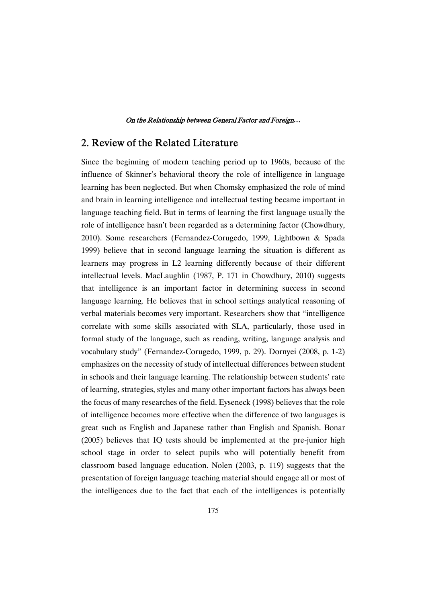### 2. Review of the Related Literature

Since the beginning of modern teaching period up to 1960s, because of the influence of Skinner's behavioral theory the role of intelligence in language learning has been neglected. But when Chomsky emphasized the role of mind and brain in learning intelligence and intellectual testing became important in language teaching field. But in terms of learning the first language usually the role of intelligence hasn't been regarded as a determining factor (Chowdhury, 2010). Some researchers (Fernandez-Corugedo, 1999, Lightbown & Spada 1999) believe that in second language learning the situation is different as learners may progress in L2 learning differently because of their different intellectual levels. MacLaughlin (1987, P. 171 in Chowdhury, 2010) suggests that intelligence is an important factor in determining success in second language learning. He believes that in school settings analytical reasoning of verbal materials becomes very important. Researchers show that "intelligence correlate with some skills associated with SLA, particularly, those used in formal study of the language, such as reading, writing, language analysis and vocabulary study" (Fernandez-Corugedo, 1999, p. 29). Dornyei (2008, p. 1-2) emphasizes on the necessity of study of intellectual differences between student in schools and their language learning. The relationship between students' rate of learning, strategies, styles and many other important factors has always been the focus of many researches of the field. Eyseneck (1998) believes that the role of intelligence becomes more effective when the difference of two languages is great such as English and Japanese rather than English and Spanish. Bonar (2005) believes that IQ tests should be implemented at the pre-junior high school stage in order to select pupils who will potentially benefit from classroom based language education. Nolen (2003, p. 119) suggests that the presentation of foreign language teaching material should engage all or most of the intelligences due to the fact that each of the intelligences is potentially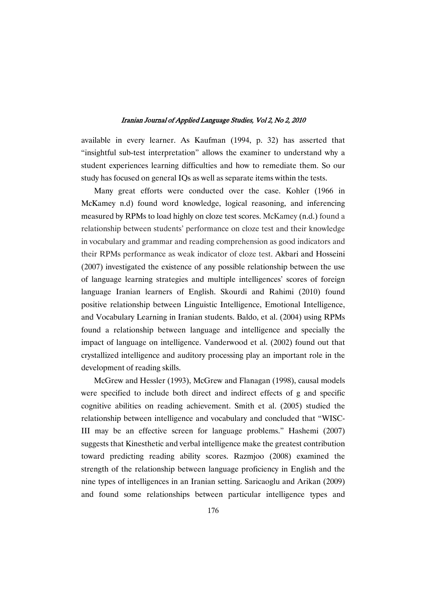available in every learner. As Kaufman (1994, p. 32) has asserted that "insightful sub-test interpretation" allows the examiner to understand why a student experiences learning difficulties and how to remediate them. So our study has focused on general IQs as well as separate items within the tests.

Many great efforts were conducted over the case. Kohler (1966 in McKamey n.d) found word knowledge, logical reasoning, and inferencing measured by RPMs to load highly on cloze test scores. McKamey (n.d.) found a relationship between students' performance on cloze test and their knowledge in vocabulary and grammar and reading comprehension as good indicators and their RPMs performance as weak indicator of cloze test. Akbari and Hosseini (2007) investigated the existence of any possible relationship between the use of language learning strategies and multiple intelligences' scores of foreign language Iranian learners of English. Skourdi and Rahimi (2010) found positive relationship between Linguistic Intelligence, Emotional Intelligence, and Vocabulary Learning in Iranian students. Baldo, et al. (2004) using RPMs found a relationship between language and intelligence and specially the impact of language on intelligence. Vanderwood et al. (2002) found out that crystallized intelligence and auditory processing play an important role in the development of reading skills.

McGrew and Hessler (1993), McGrew and Flanagan (1998), causal models were specified to include both direct and indirect effects of g and specific cognitive abilities on reading achievement. Smith et al. (2005) studied the relationship between intelligence and vocabulary and concluded that "WISC-III may be an effective screen for language problems." Hashemi (2007) suggests that Kinesthetic and verbal intelligence make the greatest contribution toward predicting reading ability scores. Razmjoo (2008) examined the strength of the relationship between language proficiency in English and the nine types of intelligences in an Iranian setting. Saricaoglu and Arikan (2009) and found some relationships between particular intelligence types and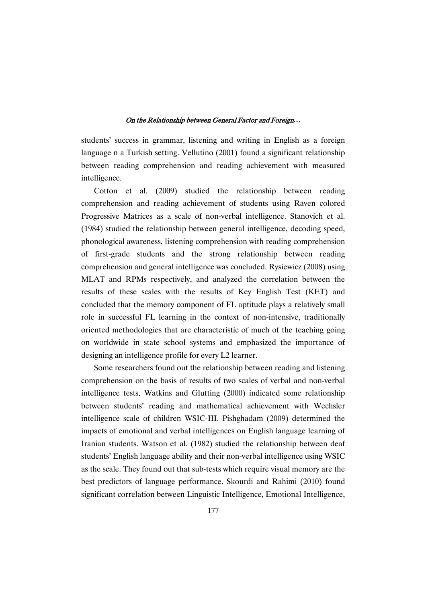students' success in grammar, listening and writing in English as a foreign language n a Turkish setting. Vellutino (2001) found a significant relationship between reading comprehension and reading achievement with measured intelligence.

Cotton et al. (2009) studied the relationship between reading comprehension and reading achievement of students using Raven colored Progressive Matrices as a scale of non-verbal intelligence. Stanovich et al. (1984) studied the relationship between general intelligence, decoding speed, phonological awareness, listening comprehension with reading comprehension of first-grade students and the strong relationship between reading comprehension and general intelligence was concluded. Rysiewicz (2008) using MLAT and RPMs respectively, and analyzed the correlation between the results of these scales with the results of Key English Test (KET) and concluded that the memory component of FL aptitude plays a relatively small role in successful FL learning in the context of non-intensive, traditionally oriented methodologies that are characteristic of much of the teaching going on worldwide in state school systems and emphasized the importance of designing an intelligence profile for every L2 learner.

Some researchers found out the relationship between reading and listening comprehension on the basis of results of two scales of verbal and non-verbal intelligence tests. Watkins and Glutting (2000) indicated some relationship between students' reading and mathematical achievement with Wechsler intelligence scale of children WSIC-III. Pishghadam (2009) determined the impacts of emotional and verbal intelligences on English language learning of Iranian students. Watson et al. (1982) studied the relationship between deaf students' English language ability and their non-verbal intelligence using WSIC as the scale. They found out that sub-tests which require visual memory are the best predictors of language performance. Skourdi and Rahimi (2010) found significant correlation between Linguistic Intelligence, Emotional Intelligence,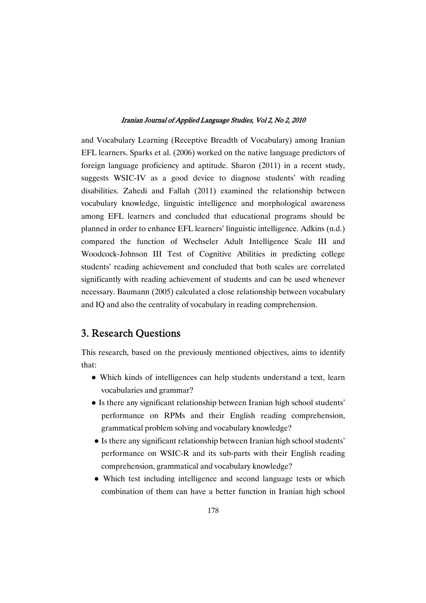and Vocabulary Learning (Receptive Breadth of Vocabulary) among Iranian EFL learners. Sparks et al. (2006) worked on the native language predictors of foreign language proficiency and aptitude. Sharon (2011) in a recent study, suggests WSIC-IV as a good device to diagnose students' with reading disabilities. Zahedi and Fallah (2011) examined the relationship between vocabulary knowledge, linguistic intelligence and morphological awareness among EFL learners and concluded that educational programs should be planned in order to enhance EFL learners' linguistic intelligence. Adkins (n.d.) compared the function of Wechseler Adult Intelligence Scale III and Woodcock-Johnson III Test of Cognitive Abilities in predicting college students' reading achievement and concluded that both scales are correlated significantly with reading achievement of students and can be used whenever necessary. Baumann (2005) calculated a close relationship between vocabulary and IQ and also the centrality of vocabulary in reading comprehension.

### 3. Research Questions

This research, based on the previously mentioned objectives, aims to identify that:

- Which kinds of intelligences can help students understand a text, learn vocabularies and grammar?
- Is there any significant relationship between Iranian high school students' performance on RPMs and their English reading comprehension, grammatical problem solving and vocabulary knowledge?
- Is there any significant relationship between Iranian high school students' performance on WSIC-R and its sub-parts with their English reading comprehension, grammatical and vocabulary knowledge?
- Which test including intelligence and second language tests or which combination of them can have a better function in Iranian high school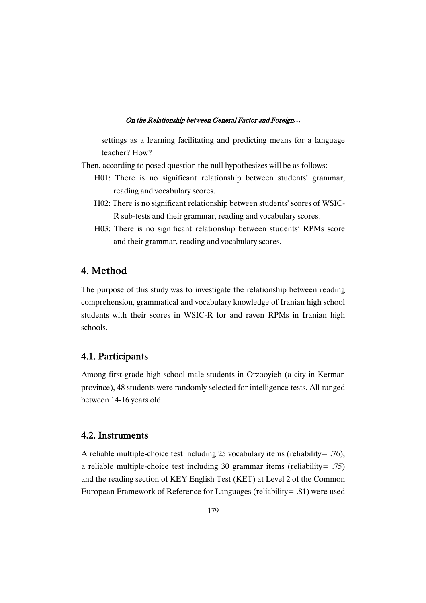settings as a learning facilitating and predicting means for a language teacher? How?

Then, according to posed question the null hypothesizes will be as follows:

- H01: There is no significant relationship between students' grammar, reading and vocabulary scores.
- H02: There is no significant relationship between students' scores of WSIC-R sub-tests and their grammar, reading and vocabulary scores.
- H03: There is no significant relationship between students' RPMs score and their grammar, reading and vocabulary scores.

### 4.Method

The purpose of this study was to investigate the relationship between reading comprehension, grammatical and vocabulary knowledge of Iranian high school students with their scores in WSIC-R for and raven RPMs in Iranian high schools.

### 4.1.Participants

Among first-grade high school male students in Orzooyieh (a city in Kerman province), 48 students were randomly selected for intelligence tests. All ranged between 14-16 years old.

### 4.2.Instruments

A reliable multiple-choice test including 25 vocabulary items (reliability= .76), a reliable multiple-choice test including 30 grammar items (reliability= .75) and the reading section of KEY English Test (KET) at Level 2 of the Common European Framework of Reference for Languages (reliability= .81) were used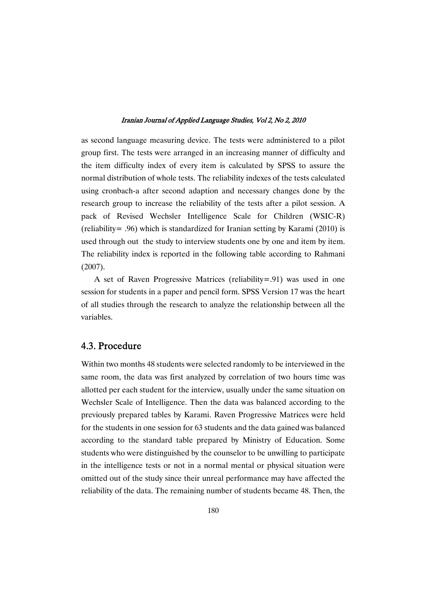as second language measuring device. The tests were administered to a pilot group first. The tests were arranged in an increasing manner of difficulty and the item difficulty index of every item is calculated by SPSS to assure the normal distribution of whole tests. The reliability indexes of the tests calculated using cronbach-a after second adaption and necessary changes done by the research group to increase the reliability of the tests after a pilot session. A pack of Revised Wechsler Intelligence Scale for Children (WSIC-R) (reliability= .96) which is standardized for Iranian setting by Karami (2010) is used through out the study to interview students one by one and item by item. The reliability index is reported in the following table according to Rahmani (2007).

A set of Raven Progressive Matrices (reliability=.91) was used in one session for students in a paper and pencil form. SPSS Version 17 was the heart of all studies through the research to analyze the relationship between all the variables.

### 4.3.Procedure

Within two months 48 students were selected randomly to be interviewed in the same room, the data was first analyzed by correlation of two hours time was allotted per each student for the interview, usually under the same situation on Wechsler Scale of Intelligence. Then the data was balanced according to the previously prepared tables by Karami. Raven Progressive Matrices were held for the students in one session for 63 students and the data gained was balanced according to the standard table prepared by Ministry of Education. Some students who were distinguished by the counselor to be unwilling to participate in the intelligence tests or not in a normal mental or physical situation were omitted out of the study since their unreal performance may have affected the reliability of the data. The remaining number of students became 48. Then, the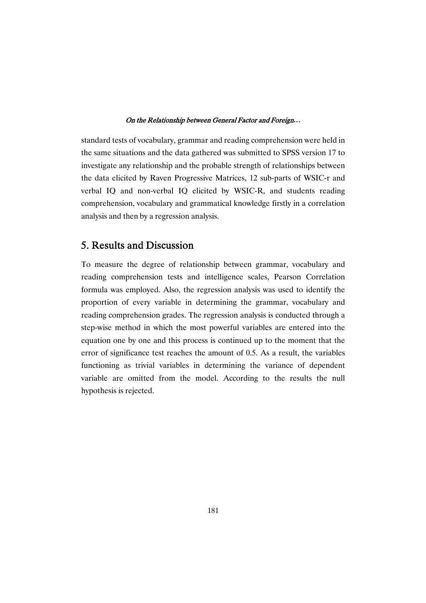standard tests of vocabulary, grammar and reading comprehension were held in the same situations and the data gathered was submitted to SPSS version 17 to investigate any relationship and the probable strength of relationships between the data elicited by Raven Progressive Matrices, 12 sub-parts of WSIC-r and verbal IQ and non-verbal IQ elicited by WSIC-R, and students reading comprehension, vocabulary and grammatical knowledge firstly in a correlation analysis and then by a regression analysis.

### 5. Results and Discussion

To measure the degree of relationship between grammar, vocabulary and reading comprehension tests and intelligence scales, Pearson Correlation formula was employed. Also, the regression analysis was used to identify the proportion of every variable in determining the grammar, vocabulary and reading comprehension grades. The regression analysis is conducted through a step-wise method in which the most powerful variables are entered into the equation one by one and this process is continued up to the moment that the error of significance test reaches the amount of 0.5. As a result, the variables functioning as trivial variables in determining the variance of dependent variable are omitted from the model. According to the results the null hypothesis is rejected.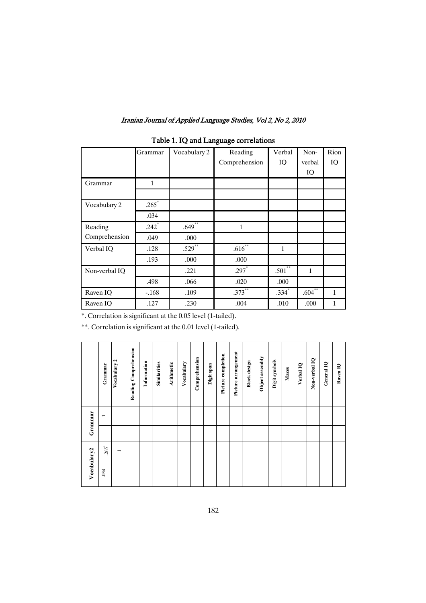|               | Grammar             | Vocabulary 2 | Reading             | Verbal       | Non-         | Rion |
|---------------|---------------------|--------------|---------------------|--------------|--------------|------|
|               |                     |              | Comprehension       | IQ           | verbal       | IQ   |
|               |                     |              |                     |              | IQ           |      |
| Grammar       | 1                   |              |                     |              |              |      |
|               |                     |              |                     |              |              |      |
| Vocabulary 2  | $.265*$             |              |                     |              |              |      |
|               | .034                |              |                     |              |              |      |
| Reading       | $.242$ <sup>*</sup> | $.649$ **    | 1                   |              |              |      |
| Comprehension | .049                | .000         |                     |              |              |      |
| Verbal IO     | .128                | $.529$ **    | $.616$ **           | $\mathbf{1}$ |              |      |
|               | .193                | .000         | .000                |              |              |      |
| Non-verbal IQ |                     | .221         | $.297$ <sup>*</sup> | $.501$ **    | $\mathbf{1}$ |      |
|               | .498                | .066         | .020                | .000         |              |      |
| Raven IQ      | $-168$              | .109         | $.373***$           | $.334*$      | $.604***$    | 1    |
| Raven IO      | .127                | .230         | .004                | .010         | .000         | 1    |

## Table 1. IQ and Language correlations

\*. Correlation is significant at the 0.05 level (1-tailed).

\*\*. Correlation is significant at the 0.01 level (1-tailed).

|             | Grammar       | $\overline{\mathbf{c}}$<br>Vocabulary | Reading Comprehension | Information | Similarities | Arithmetic | Vocabulary | Comprehension | Digit span | Picture completion | Picture arrangement | <b>Block</b> design | Object assembly | Digit symbols | Mazes | Verbal IQ | Non-verbal IQ | General IQ | Raven IQ |
|-------------|---------------|---------------------------------------|-----------------------|-------------|--------------|------------|------------|---------------|------------|--------------------|---------------------|---------------------|-----------------|---------------|-------|-----------|---------------|------------|----------|
| Grammar     | $\overline{}$ |                                       |                       |             |              |            |            |               |            |                    |                     |                     |                 |               |       |           |               |            |          |
|             |               |                                       |                       |             |              |            |            |               |            |                    |                     |                     |                 |               |       |           |               |            |          |
|             | .265          | $\overline{\phantom{0}}$              |                       |             |              |            |            |               |            |                    |                     |                     |                 |               |       |           |               |            |          |
| Vocabulary2 | .034          |                                       |                       |             |              |            |            |               |            |                    |                     |                     |                 |               |       |           |               |            |          |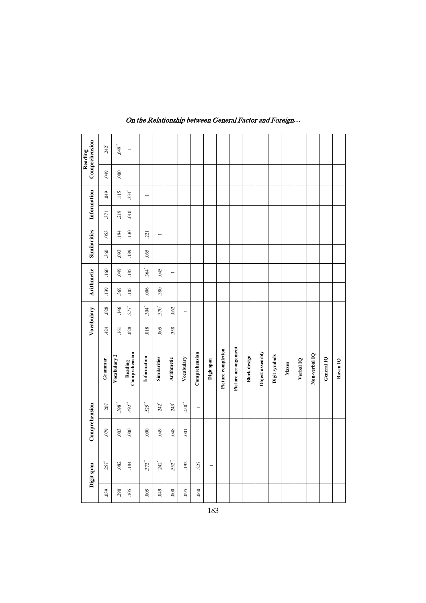| Comprehension<br>Reading | $242$ <sup>*</sup> |                      | $.649$ <sup>**</sup> |                          |                      |                     |                    |                  |                |                |                    |                     |                     |                 |               |       |           |               |            |
|--------------------------|--------------------|----------------------|----------------------|--------------------------|----------------------|---------------------|--------------------|------------------|----------------|----------------|--------------------|---------------------|---------------------|-----------------|---------------|-------|-----------|---------------|------------|
|                          | 049                |                      | 000                  |                          |                      |                     |                    |                  |                |                |                    |                     |                     |                 |               |       |           |               |            |
| Information              | 049<br>371         |                      | 115<br>219           | 334<br>010               | $\overline{ }$       |                     |                    |                  |                |                |                    |                     |                     |                 |               |       |           |               |            |
|                          | .053               |                      | 194                  | .130                     | .221                 | $\overline{ }$      |                    |                  |                |                |                    |                     |                     |                 |               |       |           |               |            |
| <b>Similarities</b>      | .360               |                      | .093                 | .189                     | .065                 |                     |                    |                  |                |                |                    |                     |                     |                 |               |       |           |               |            |
| <b>Arithmetic</b>        | .160               |                      | 049                  | .185                     | $.364$ <sup>*</sup>  | .045                | $\overline{ }$     |                  |                |                |                    |                     |                     |                 |               |       |           |               |            |
|                          | .139               |                      | 369                  | 105                      | .006                 | 380                 |                    |                  |                |                |                    |                     |                     |                 |               |       |           |               |            |
| Vocabulary               | 028                |                      | .146                 | $277^{\circ}$            | $304$ <sup>*</sup>   | $.370$ <sup>*</sup> | .062               | $\overline{ }$   |                |                |                    |                     |                     |                 |               |       |           |               |            |
|                          | 424                |                      | .161                 | .028                     | 018                  | 005                 | 338                |                  |                |                |                    |                     |                     |                 |               |       |           |               |            |
|                          | Grammar            | Vocabulary 2         |                      | Reading<br>Comprehension | Information          | <b>Similarities</b> | <b>Arithmetic</b>  | Vocabulary       | Comprehension  | Digit span     | Picture completion | Picture arrangement | <b>Block</b> design | Object assembly | Digit symbols | Mazes | Verbal IQ | Non-verbal IQ | General IQ |
|                          | 207                | $.398$ <sup>**</sup> |                      | 492"                     | $525$ <sup>**</sup>  | 242"                | $243$ <sup>*</sup> | $450^{**}$       | $\overline{1}$ |                |                    |                     |                     |                 |               |       |           |               |            |
| Comprehension            | 079                | 003                  |                      | 000                      | 000                  | 049                 | .048               | $\overline{0}01$ |                |                |                    |                     |                     |                 |               |       |           |               |            |
| Digit span               | $257$ <sup>*</sup> | .082                 |                      | .184                     | $.372$ <sup>**</sup> | $242$ <sup>*</sup>  | 552                | 192              | .227           | $\overline{ }$ |                    |                     |                     |                 |               |       |           |               |            |
|                          |                    |                      |                      |                          |                      |                     |                    |                  |                |                |                    |                     |                     |                 | 0.05<br>.060  |       |           |               |            |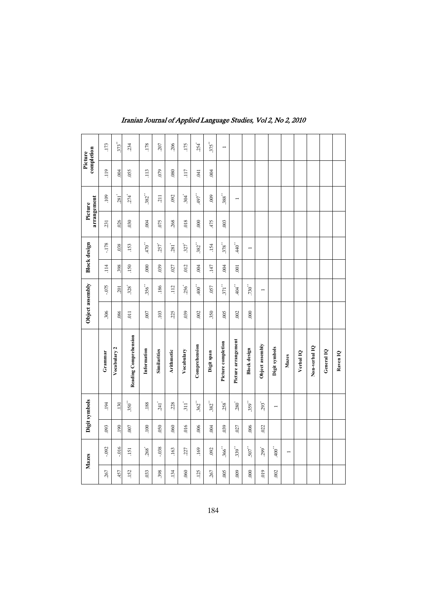|      | Mazes                  |             | Digit symbols      |                       | Object assembly  |                      |                 | <b>Block</b> design | Picture            |                    | Picture | completion         |
|------|------------------------|-------------|--------------------|-----------------------|------------------|----------------------|-----------------|---------------------|--------------------|--------------------|---------|--------------------|
| .267 | $-0.092$               | .093        | 194                | Grammar               | 306              | $-075$               | 114             | $-178$              | arrangement<br>231 | <b>109</b>         | 119     | 173                |
| 457  | $-016$                 | <b>190</b>  | 130                | Vocabulary 2          | .086             | .201                 | 398             | 038                 | 026                | 281                | 004     | 373"               |
| .152 | .151                   | 007         | $.350^{**}$        | Reading Comprehension | $\overline{011}$ | $328^{\circ}$        | 150             | 153                 | 030                | $274$ <sup>*</sup> | .055    | 234                |
| .033 | $268$ <sup>*</sup>     | <b>.100</b> | .188               | Information           | 007              | $356$ <sup>**</sup>  | 000             | $470$ <sup>**</sup> | 004                | 382"               | 113     | 178                |
| 398  | $-0.38$                | .050        | 241                | <b>Similarities</b>   | 103              | .186                 | .039            | 257                 | .075               | .211               | 079     | 207                |
| .134 | .163                   | .060        | 228                | <b>Arithmetic</b>     | 225              | 112                  | .027            | 281                 | 268                | .092               | .080    | 206                |
| .060 | .227                   | 016         | $311$ <sup>*</sup> | Vocabulary            | 039              | $256$ <sup>*</sup>   | 012             | $327^{\circ}$       | 018                | 304                | 117     | 175                |
| .125 | 169                    | 006         | 362"               | Comprehension         | 002              | $400$ $\,$           | 004             | $382^{**}$          | 000                | $^{*49}7$          | 041     | $254$ <sup>*</sup> |
| .267 | 092                    | 004         | $382^{**}$         | Digit span            | 350              | .057                 | 147             | 154                 | 475                | 000                | 004     | $.375***$          |
| 005  | $366$ <sup>**</sup>    | .039        | $258$ <sup>*</sup> | Picture completion    | 005              | $371$ <sup>**</sup>  | .004            | 378                 | .003               | $388^{**}$         |         | $\overline{ }$     |
| 000  | $339^{**}$             | .027        | $280^{\degree}$    | Picture arrangement   | 002              | $+04$                | $\overline{00}$ | $440$ <sup>**</sup> |                    | $\overline{ }$     |         |                    |
| 000  | $507$                  | .006        | $359^{**}$         | <b>Block</b> design   | 000              | ${730}^{\circ\circ}$ |                 | $\overline{ }$      |                    |                    |         |                    |
| 019  | $299^{\circ}$          | .022        | $293$ <sup>*</sup> | Object assembly       |                  | $\overline{ }$       |                 |                     |                    |                    |         |                    |
| .002 | $400$ $\hspace{0.1cm}$ |             | $\overline{ }$     | Digit symbols         |                  |                      |                 |                     |                    |                    |         |                    |
|      | $\overline{ }$         |             |                    | Mazes                 |                  |                      |                 |                     |                    |                    |         |                    |
|      |                        |             |                    | Verbal <sub>1Q</sub>  |                  |                      |                 |                     |                    |                    |         |                    |
|      |                        |             |                    | Non-verbal IQ         |                  |                      |                 |                     |                    |                    |         |                    |
|      |                        |             |                    | General IQ            |                  |                      |                 |                     |                    |                    |         |                    |
|      |                        |             |                    | Raven IQ              |                  |                      |                 |                     |                    |                    |         |                    |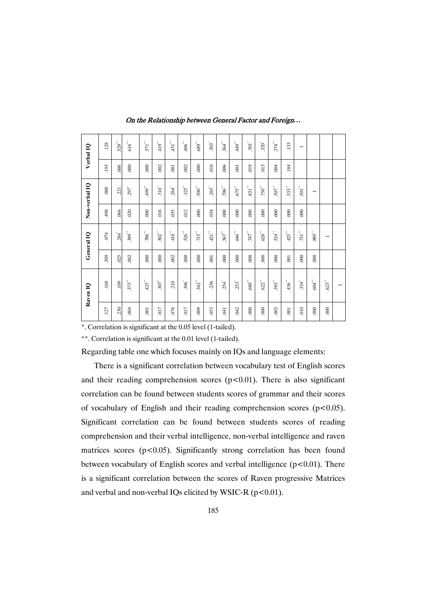| Verbal IQ     | 128  | $529$ <sup>**</sup> | $616^{**}$          | $571$ $^{\circ\circ}$ | $419$ $^{\circ\circ}$   | $^{**}$ 131 $^{\circ\circ}$ | $.406$ <sup>**</sup> | ${689}^{\circ\circ}$ | $.303$ <sup>*</sup> | $364$ <sup>**</sup> | $^{**}$ 6<br>tr     | $301^{\circ}$                         | $320^{^{\circ}}$    | $374$ <sup>**</sup>     | 133                  | I                  |                          |                          |                |
|---------------|------|---------------------|---------------------|-----------------------|-------------------------|-----------------------------|----------------------|----------------------|---------------------|---------------------|---------------------|---------------------------------------|---------------------|-------------------------|----------------------|--------------------|--------------------------|--------------------------|----------------|
|               | 193  | 000                 | 000                 | 000                   | .002                    | $\overline{0}$              | .002                 | 000                  | .018                | .006                | 001                 | 019                                   | 013                 | .004                    | $.184\,$             |                    |                          |                          |                |
| Non-verbal IQ | 000  | 221                 | $.297$ <sup>*</sup> | 499"                  | $310^{^{\circ}}$        | $.264$ <sup>*</sup>         | 325                  | $.500^{**}$          | $.265$ <sup>*</sup> | $.706^{**}$         | $^{\circ}5L9$       | $\mathbf{331}^{**}$                   | $.750^{**}$         | $.507$ $\hspace{0.5cm}$ | $.533$ <sup>**</sup> | $501$              | $\overline{\phantom{0}}$ |                          |                |
|               | 498  | .066                | .020                | 000                   | .016                    | 035                         | .012                 | 000                  | .034                | 000                 | 000                 | 000                                   | 000                 | 000                     | 000                  | 000                |                          |                          |                |
| General IQ    | .074 | $.284$ <sup>*</sup> | $399^{**}$          | $.706^{**}$           | $.502$ $\hspace{0.1cm}$ | $^{**}$ 418 $^{\circ}$      | .526                 | $.715$ <sup>**</sup> | $^{\ast\ast}$ 175   | .567                | $.646$ $^{\circ}$   | $^{\circ}$ $\mathcal{L}\mathcal{V}$ . | $.628^{**}$         | .524                    | $.425$ <sup>**</sup> | $.731\sp{''}$      | $889^{**}$               | $\overline{\phantom{0}}$ |                |
|               | .309 | .025                | .002                | 000                   | 000                     | .002                        | 000                  | 000                  | .001                | 000                 | .000                | 000                                   | 000                 | 000                     | $\sim\!\!001$        | 000                | 000                      |                          |                |
| Raven 1Q      | .168 | <b>.109</b>         | $373^\circ$         | $425$ <sup>**</sup>   | $307$                   | 210                         | $306^{^{\circ}}$     | $342$ <sup>**</sup>  | .236                | $.254$ <sup>*</sup> | $.253$ <sup>*</sup> | $\mathbf{.680}^{**}$                  | $622$ <sup>**</sup> | $\mathbf{393}^{**}$     | $.436$ <sup>**</sup> | $334$ <sup>*</sup> | $^{**}$ 604 $^{**}$      | $623$ <sup>**</sup>      | $\overline{ }$ |
|               | .127 | 230                 | $.004$              | 001                   | <b>CIO</b> .            | 076                         | <b>CIO</b> .         | 000                  | .053                | .041                | .042                | 000                                   | 000                 | .003                    | $\,$ 001             | 010                | $000$ .                  | $000$ .                  |                |

On the Relationship between General Factor and Foreign...

\*. Correlation is significant at the 0.05 level (1-tailed).

\*\*. Correlation is significant at the 0.01 level (1-tailed).

Regarding table one which focuses mainly on IQs and language elements:

There is a significant correlation between vocabulary test of English scores and their reading comprehension scores  $(p<0.01)$ . There is also significant correlation can be found between students scores of grammar and their scores of vocabulary of English and their reading comprehension scores  $(p<0.05)$ . Significant correlation can be found between students scores of reading comprehension and their verbal intelligence, non-verbal intelligence and raven matrices scores ( $p < 0.05$ ). Significantly strong correlation has been found between vocabulary of English scores and verbal intelligence (p<0.01). There is a significant correlation between the scores of Raven progressive Matrices and verbal and non-verbal IQs elicited by WSIC-R  $(p<0.01)$ .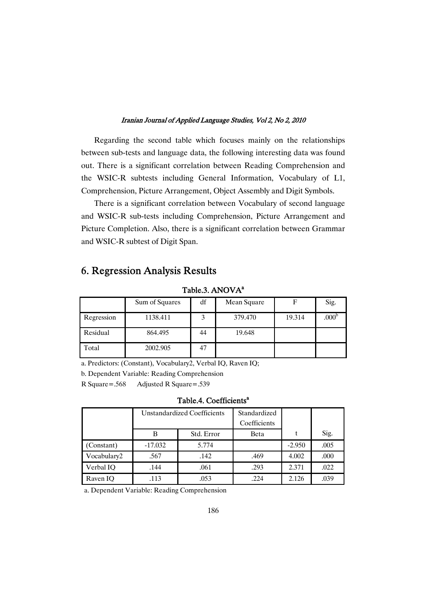Regarding the second table which focuses mainly on the relationships between sub-tests and language data, the following interesting data was found out. There is a significant correlation between Reading Comprehension and the WSIC-R subtests including General Information, Vocabulary of L1, Comprehension, Picture Arrangement, Object Assembly and Digit Symbols.

There is a significant correlation between Vocabulary of second language and WSIC-R sub-tests including Comprehension, Picture Arrangement and Picture Completion. Also, there is a significant correlation between Grammar and WSIC-R subtest of Digit Span.

## 6. Regression Analysis Results

|            | Sum of Squares | df | Mean Square | F      | Sig.              |
|------------|----------------|----|-------------|--------|-------------------|
| Regression | 1138.411       |    | 379.470     | 19.314 | .000 <sup>b</sup> |
| Residual   | 864.495        | 44 | 19.648      |        |                   |
| Total      | 2002.905       | 47 |             |        |                   |

Table.3. ANOVA<sup>a</sup>

a. Predictors: (Constant), Vocabulary2, Verbal IQ, Raven IQ;

b. Dependent Variable: Reading Comprehension

R Square=.568 Adjusted R Square=.539

#### Table.4. Coefficients<sup>a</sup>

|             |           | Unstandardized Coefficients | Standardized |          |      |
|-------------|-----------|-----------------------------|--------------|----------|------|
|             |           |                             | Coefficients |          |      |
|             | В         | Std. Error                  | Beta         |          | Sig. |
| (Constant)  | $-17.032$ | 5.774                       |              | $-2.950$ | .005 |
| Vocabulary2 | .567      | .142                        | .469         | 4.002    | .000 |
| Verbal IO   | .144      | .061                        | .293         | 2.371    | .022 |
| Raven IO    | .113      | .053                        | .224         | 2.126    | .039 |

a. Dependent Variable: Reading Comprehension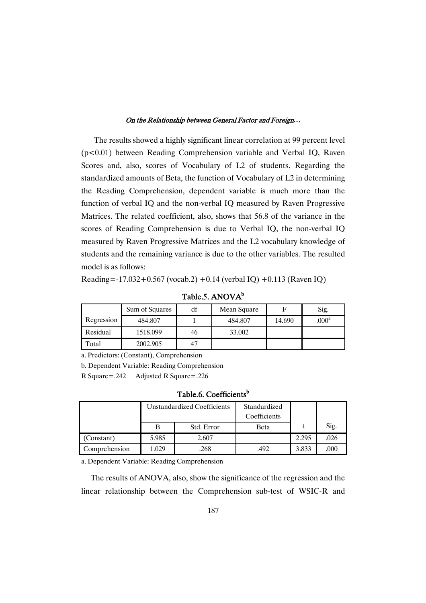The results showed a highly significant linear correlation at 99 percent level (p<0.01) between Reading Comprehension variable and Verbal IQ, Raven Scores and, also, scores of Vocabulary of L2 of students. Regarding the standardized amounts of Beta, the function of Vocabulary of L2 in determining the Reading Comprehension, dependent variable is much more than the function of verbal IQ and the non-verbal IQ measured by Raven Progressive Matrices. The related coefficient, also, shows that 56.8 of the variance in the scores of Reading Comprehension is due to Verbal IQ, the non-verbal IQ measured by Raven Progressive Matrices and the L2 vocabulary knowledge of students and the remaining variance is due to the other variables. The resulted model is as follows:

Reading=-17.032+0.567 (vocab.2) +0.14 (verbal IQ) +0.113 (Raven IQ)

|            | Sum of Squares | df | Mean Square | F      | Sig.           |
|------------|----------------|----|-------------|--------|----------------|
| Regression | 484.807        |    | 484.807     | 14.690 | $.000^{\rm a}$ |
| Residual   | 1518.099       | 46 | 33.002      |        |                |
| Total      | 2002.905       | 47 |             |        |                |

Table.5. ANOVA<sup>b</sup>

a. Predictors: (Constant), Comprehension

b. Dependent Variable: Reading Comprehension

R Square=.242 Adjusted R Square=.226

Table.6. Coefficients<sup>b</sup>

|               |       | Unstandardized Coefficients | Standardized |       |      |
|---------------|-------|-----------------------------|--------------|-------|------|
|               |       |                             | Coefficients |       |      |
|               |       | Std. Error                  | Beta         |       | Sig. |
| (Constant)    | 5.985 | 2.607                       |              | 2.295 | .026 |
| Comprehension | 1.029 | .268                        | .492         | 3.833 | .000 |

a. Dependent Variable: Reading Comprehension

The results of ANOVA, also, show the significance of the regression and the linear relationship between the Comprehension sub-test of WSIC-R and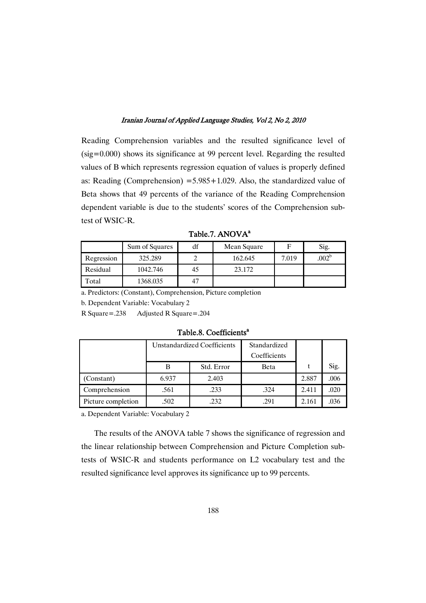Reading Comprehension variables and the resulted significance level of (sig=0.000) shows its significance at 99 percent level. Regarding the resulted values of B which represents regression equation of values is properly defined as: Reading (Comprehension)  $=5.985+1.029$ . Also, the standardized value of Beta shows that 49 percents of the variance of the Reading Comprehension dependent variable is due to the students' scores of the Comprehension subtest of WSIC-R.

|            | Sum of Squares | df | Mean Square |       | Sig.              |
|------------|----------------|----|-------------|-------|-------------------|
| Regression | 325.289        |    | 162.645     | 7.019 | .002 <sup>b</sup> |
| Residual   | 1042.746       | 45 | 23.172      |       |                   |
| Fotal      | 1368.035       | 47 |             |       |                   |

Table.7. ANOVA<sup>a</sup>

a. Predictors: (Constant), Comprehension, Picture completion

b. Dependent Variable: Vocabulary 2

R Square=.238 Adjusted R Square=.204

Table.8. Coefficients<sup>a</sup>

|                    |       | <b>Unstandardized Coefficients</b> | Standardized<br>Coefficients |       |      |
|--------------------|-------|------------------------------------|------------------------------|-------|------|
|                    |       | Std. Error                         | <b>Beta</b>                  |       | Sig. |
| (Constant)         | 6.937 | 2.403                              |                              | 2.887 | .006 |
| Comprehension      | .561  | .233                               | .324                         | 2.411 | .020 |
| Picture completion | .502  | .232                               | .291                         | 2.161 | .036 |

a. Dependent Variable: Vocabulary 2

The results of the ANOVA table 7 shows the significance of regression and the linear relationship between Comprehension and Picture Completion subtests of WSIC-R and students performance on L2 vocabulary test and the resulted significance level approves its significance up to 99 percents.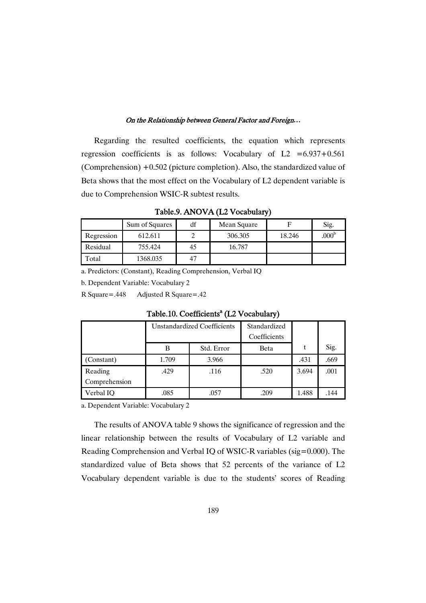Regarding the resulted coefficients, the equation which represents regression coefficients is as follows: Vocabulary of  $L2 = 6.937 + 0.561$ (Comprehension) +0.502 (picture completion). Also, the standardized value of Beta shows that the most effect on the Vocabulary of L2 dependent variable is due to Comprehension WSIC-R subtest results.

Table.9.ANOVA(L2Vocabulary)

|            | Sum of Squares | df | Mean Square |        | Sig.              |
|------------|----------------|----|-------------|--------|-------------------|
| Regression | 612.611        |    | 306.305     | 18.246 | .000 <sup>b</sup> |
| Residual   | 755.424        | 45 | 16.787      |        |                   |
| Total      | 1368.035       | 47 |             |        |                   |

a. Predictors: (Constant), Reading Comprehension, Verbal IQ

b. Dependent Variable: Vocabulary 2

R Square=.448 Adjusted R Square=.42

|               | Unstandardized Coefficients |            | Standardized<br>Coefficients |       |      |
|---------------|-----------------------------|------------|------------------------------|-------|------|
|               | В                           | Std. Error | Beta                         | t     | Sig. |
| (Constant)    | 1.709                       | 3.966      |                              | .431  | .669 |
| Reading       | .429                        | .116       | .520                         | 3.694 | .001 |
| Comprehension |                             |            |                              |       |      |
| Verbal IQ     | .085                        | .057       | .209                         | 1.488 | .144 |

Table.10. Coefficients<sup>a</sup> (L2 Vocabulary)

a. Dependent Variable: Vocabulary 2

The results of ANOVA table 9 shows the significance of regression and the linear relationship between the results of Vocabulary of L2 variable and Reading Comprehension and Verbal IQ of WSIC-R variables (sig=0.000). The standardized value of Beta shows that 52 percents of the variance of L2 Vocabulary dependent variable is due to the students' scores of Reading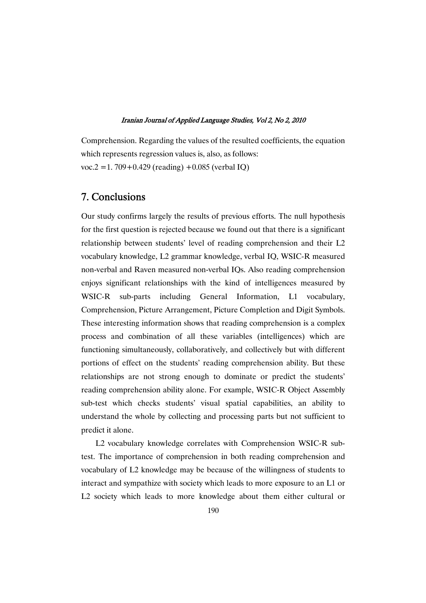Comprehension. Regarding the values of the resulted coefficients, the equation which represents regression values is, also, as follows: voc.2 = 1. 709 + 0.429 (reading) + 0.085 (verbal IQ)

### 7.Conclusions

Our study confirms largely the results of previous efforts. The null hypothesis for the first question is rejected because we found out that there is a significant relationship between students' level of reading comprehension and their L2 vocabulary knowledge, L2 grammar knowledge, verbal IQ, WSIC-R measured non-verbal and Raven measured non-verbal IQs. Also reading comprehension enjoys significant relationships with the kind of intelligences measured by WSIC-R sub-parts including General Information, L1 vocabulary, Comprehension, Picture Arrangement, Picture Completion and Digit Symbols. These interesting information shows that reading comprehension is a complex process and combination of all these variables (intelligences) which are functioning simultaneously, collaboratively, and collectively but with different portions of effect on the students' reading comprehension ability. But these relationships are not strong enough to dominate or predict the students' reading comprehension ability alone. For example, WSIC-R Object Assembly sub-test which checks students' visual spatial capabilities, an ability to understand the whole by collecting and processing parts but not sufficient to predict it alone.

L2 vocabulary knowledge correlates with Comprehension WSIC-R subtest. The importance of comprehension in both reading comprehension and vocabulary of L2 knowledge may be because of the willingness of students to interact and sympathize with society which leads to more exposure to an L1 or L2 society which leads to more knowledge about them either cultural or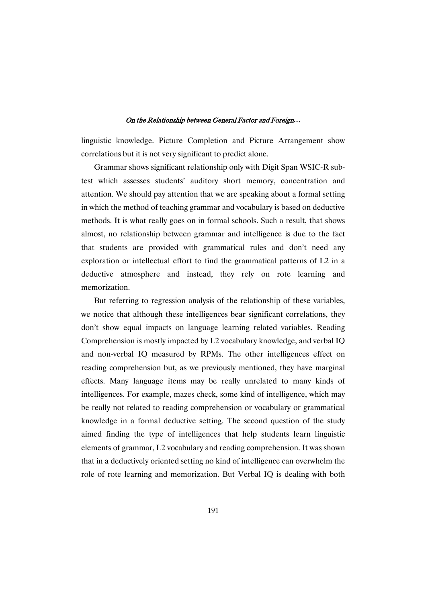linguistic knowledge. Picture Completion and Picture Arrangement show correlations but it is not very significant to predict alone.

Grammar shows significant relationship only with Digit Span WSIC-R subtest which assesses students' auditory short memory, concentration and attention. We should pay attention that we are speaking about a formal setting in which the method of teaching grammar and vocabulary is based on deductive methods. It is what really goes on in formal schools. Such a result, that shows almost, no relationship between grammar and intelligence is due to the fact that students are provided with grammatical rules and don't need any exploration or intellectual effort to find the grammatical patterns of L2 in a deductive atmosphere and instead, they rely on rote learning and memorization.

But referring to regression analysis of the relationship of these variables, we notice that although these intelligences bear significant correlations, they don't show equal impacts on language learning related variables. Reading Comprehension is mostly impacted by L2 vocabulary knowledge, and verbal IQ and non-verbal IQ measured by RPMs. The other intelligences effect on reading comprehension but, as we previously mentioned, they have marginal effects. Many language items may be really unrelated to many kinds of intelligences. For example, mazes check, some kind of intelligence, which may be really not related to reading comprehension or vocabulary or grammatical knowledge in a formal deductive setting. The second question of the study aimed finding the type of intelligences that help students learn linguistic elements of grammar, L2 vocabulary and reading comprehension. It was shown that in a deductively oriented setting no kind of intelligence can overwhelm the role of rote learning and memorization. But Verbal IQ is dealing with both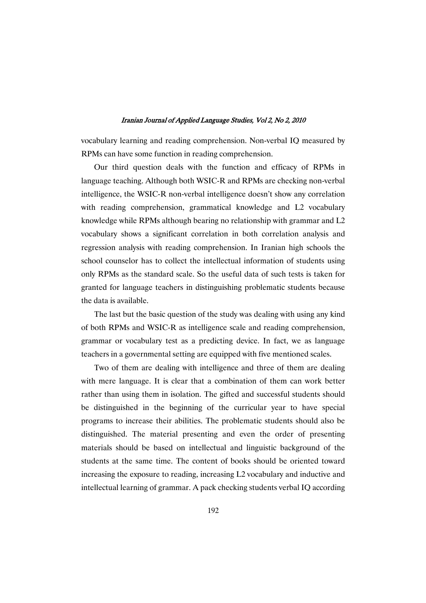vocabulary learning and reading comprehension. Non-verbal IQ measured by RPMs can have some function in reading comprehension.

Our third question deals with the function and efficacy of RPMs in language teaching. Although both WSIC-R and RPMs are checking non-verbal intelligence, the WSIC-R non-verbal intelligence doesn't show any correlation with reading comprehension, grammatical knowledge and L2 vocabulary knowledge while RPMs although bearing no relationship with grammar and L2 vocabulary shows a significant correlation in both correlation analysis and regression analysis with reading comprehension. In Iranian high schools the school counselor has to collect the intellectual information of students using only RPMs as the standard scale. So the useful data of such tests is taken for granted for language teachers in distinguishing problematic students because the data is available.

The last but the basic question of the study was dealing with using any kind of both RPMs and WSIC-R as intelligence scale and reading comprehension, grammar or vocabulary test as a predicting device. In fact, we as language teachers in a governmental setting are equipped with five mentioned scales.

Two of them are dealing with intelligence and three of them are dealing with mere language. It is clear that a combination of them can work better rather than using them in isolation. The gifted and successful students should be distinguished in the beginning of the curricular year to have special programs to increase their abilities. The problematic students should also be distinguished. The material presenting and even the order of presenting materials should be based on intellectual and linguistic background of the students at the same time. The content of books should be oriented toward increasing the exposure to reading, increasing L2 vocabulary and inductive and intellectual learning of grammar. A pack checking students verbal IQ according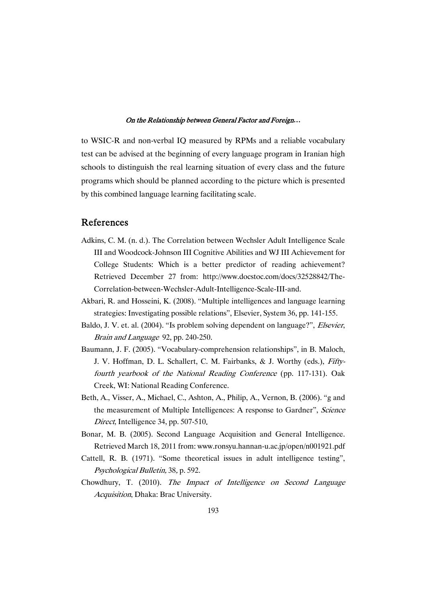to WSIC-R and non-verbal IQ measured by RPMs and a reliable vocabulary test can be advised at the beginning of every language program in Iranian high schools to distinguish the real learning situation of every class and the future programs which should be planned according to the picture which is presented by this combined language learning facilitating scale.

### References

- Adkins, C. M. (n. d.). The Correlation between Wechsler Adult Intelligence Scale III and Woodcock-Johnson III Cognitive Abilities and WJ III Achievement for College Students: Which is a better predictor of reading achievement? Retrieved December 27 from: http://www.docstoc.com/docs/32528842/The-Correlation-between-Wechsler-Adult-Intelligence-Scale-III-and.
- Akbari, R. and Hosseini, K. (2008). "Multiple intelligences and language learning strategies: Investigating possible relations", Elsevier, System 36, pp. 141-155.
- Baldo, J. V. et. al. (2004). "Is problem solving dependent on language?", *Elsevier*, Brain and Language 92, pp. 240-250.
- Baumann, J. F. (2005). "Vocabulary-comprehension relationships", in B. Maloch, J. V. Hoffman, D. L. Schallert, C. M. Fairbanks, & J. Worthy (eds.), Fiftyfourth yearbook of the National Reading Conference (pp. 117-131). Oak Creek, WI: National Reading Conference.
- Beth, A., Visser, A., Michael, C., Ashton, A., Philip, A., Vernon, B. (2006). "g and the measurement of Multiple Intelligences: A response to Gardner", Science Direct, Intelligence 34, pp. 507-510.
- Bonar, M. B. (2005). Second Language Acquisition and General Intelligence. Retrieved March 18, 2011 from: www.ronsyu.hannan-u.ac.jp/open/n001921.pdf
- Cattell, R. B. (1971). "Some theoretical issues in adult intelligence testing", Psychological Bulletin, 38, p. 592.
- Chowdhury, T. (2010). The Impact of Intelligence on Second Language Acquisition, Dhaka: Brac University.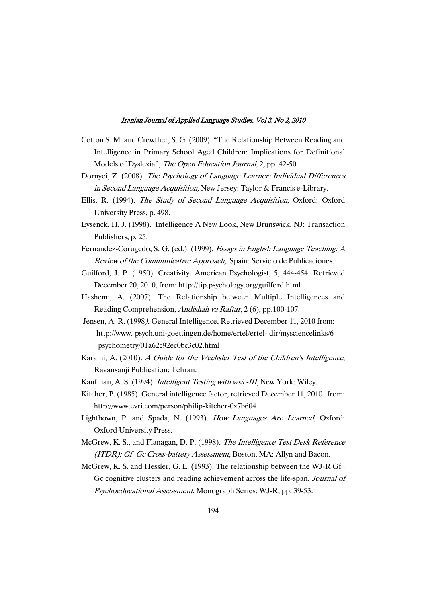- Cotton S. M. and Crewther, S. G. (2009). "The Relationship Between Reading and Intelligence in Primary School Aged Children: Implications for Definitional Models of Dyslexia", The Open Education Journal, 2, pp. 42-50.
- Dornyei, Z. (2008). The Psychology of Language Learner: Individual Differences in Second Language Acquisition, New Jersey: Taylor & Francis e-Library.
- Ellis, R. (1994). The Study of Second Language Acquisition, Oxford: Oxford University Press, p. 498.
- Eysenck, H. J. (1998). Intelligence A New Look, New Brunswick, NJ: Transaction Publishers, p. 25.
- Fernandez-Corugedo, S. G. (ed.). (1999). Essays in English Language Teaching: <sup>A</sup> Review of the Communicative Approach, Spain: Servicio de Publicaciones.
- Guilford, J. P. (1950). Creativity. American Psychologist, 5, 444-454. Retrieved December 20, 2010, from: http://tip.psychology.org/guilford.html
- Hashemi, A. (2007). The Relationship between Multiple Intelligences and Reading Comprehension, Andishah va Raftar, 2 (6), pp.100-107.
- Jensen, A. R. (1998). General Intelligence. Retrieved December 11, 2010 from: http://www. psych.uni-goettingen.de/home/ertel/ertel- dir/mysciencelinks/6 psychometry/01a62c92ec0bc3c02.html
- Karami, A. (2010). <sup>A</sup> Guide for the Wechsler Test of the Children's Intelligence, Ravansanji Publication: Tehran.
- Kaufman, A. S. (1994). Intelligent Testing with wsic-III, New York: Wiley.
- Kitcher, P. (1985). General intelligence factor, retrieved December 11, 2010 from: http://www.evri.com/person/philip-kitcher-0x7b604
- Lightbown, P. and Spada, N. (1993). How Languages Are Learned, Oxford: Oxford University Press.
- McGrew, K. S., and Flanagan, D. P. (1998). The Intelligence Test Desk Reference (ITDR): Gf–Gc Cross-battery Assessment, Boston, MA: Allyn and Bacon.
- McGrew, K. S. and Hessler, G. L. (1993). The relationship between the WJ-R Gf– Gc cognitive clusters and reading achievement across the life-span. Journal of Psychoeducational Assessment, Monograph Series: WJ-R, pp. 39-53.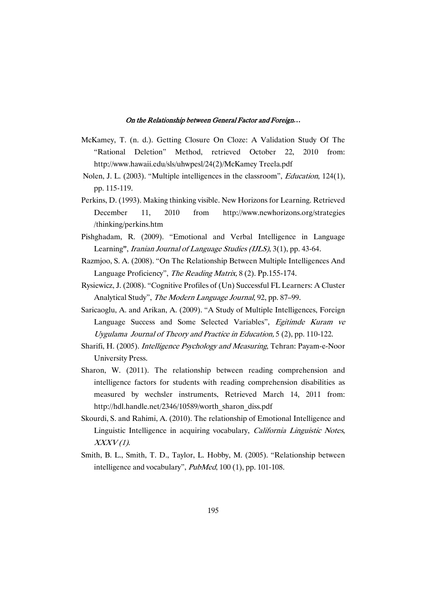- McKamey, T. (n. d.). Getting Closure On Cloze: A Validation Study Of The "Rational Deletion" Method, retrieved October 22, 2010 from: http://www.hawaii.edu/sls/uhwpesl/24(2)/McKamey Treela.pdf
- Nolen, J. L. (2003). "Multiple intelligences in the classroom", Education, 124(1), pp. 115-119.
- Perkins, D. (1993). Making thinking visible. New Horizons for Learning. Retrieved December 11, 2010 from http://www.newhorizons.org/strategies /thinking/perkins.htm
- Pishghadam, R. (2009). "Emotional and Verbal Intelligence in Language Learning", Iranian Journal of Language Studies (IJLS), 3(1), pp. 43-64.
- Razmjoo, S. A. (2008). "On The Relationship Between Multiple Intelligences And Language Proficiency", The Reading Matrix, 8 (2). Pp.155-174.
- Rysiewicz, J. (2008). "Cognitive Profiles of (Un) Successful FL Learners: A Cluster Analytical Study", The Modern Language Journal, 92, pp. 87–99.
- Saricaoglu, A. and Arikan, A. (2009). "A Study of Multiple Intelligences, Foreign Language Success and Some Selected Variables", Egitimde Kuram ve Uygulama Journal of Theory and Practice in Education, 5 (2), pp. 110-122.
- Sharifi, H. (2005). Intelligence Psychology and Measuring, Tehran: Payam-e-Noor University Press.
- Sharon, W. (2011). The relationship between reading comprehension and intelligence factors for students with reading comprehension disabilities as measured by wechsler instruments. Retrieved March 14, 2011 from: http://hdl.handle.net/2346/10589/worth\_sharon\_diss.pdf
- Skourdi, S. and Rahimi, A. (2010). The relationship of Emotional Intelligence and Linguistic Intelligence in acquiring vocabulary, California Linguistic Notes,  $XXXV(1)$ .
- Smith, B. L., Smith, T. D., Taylor, L. Hobby, M. (2005). "Relationship between intelligence and vocabulary",  $PubMed$ , 100 (1), pp. 101-108.